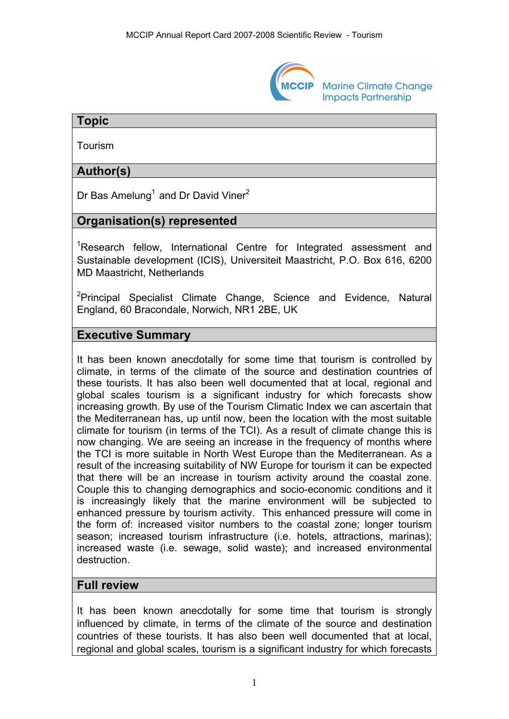

**Marine Climate Change Impacts Partnership** 

## **Topic**

Tourism

# **Author(s)**

Dr Bas Amelung<sup>1</sup> and Dr David Viner<sup>2</sup>

## **Organisation(s) represented**

<sup>1</sup>Research fellow, International Centre for Integrated assessment and Sustainable development (ICIS), Universiteit Maastricht, P.O. Box 616, 6200 MD Maastricht, Netherlands

<sup>2</sup>Principal Specialist Climate Change, Science and Evidence, Natural England, 60 Bracondale, Norwich, NR1 2BE, UK

#### **Executive Summary**

It has been known anecdotally for some time that tourism is controlled by climate, in terms of the climate of the source and destination countries of these tourists. It has also been well documented that at local, regional and global scales tourism is a significant industry for which forecasts show increasing growth. By use of the Tourism Climatic Index we can ascertain that the Mediterranean has, up until now, been the location with the most suitable climate for tourism (in terms of the TCI). As a result of climate change this is now changing. We are seeing an increase in the frequency of months where the TCI is more suitable in North West Europe than the Mediterranean. As a result of the increasing suitability of NW Europe for tourism it can be expected that there will be an increase in tourism activity around the coastal zone. Couple this to changing demographics and socio-economic conditions and it is increasingly likely that the marine environment will be subjected to enhanced pressure by tourism activity. This enhanced pressure will come in the form of: increased visitor numbers to the coastal zone; longer tourism season; increased tourism infrastructure (i.e. hotels, attractions, marinas); increased waste (i.e. sewage, solid waste); and increased environmental destruction.

#### **Full review**

It has been known anecdotally for some time that tourism is strongly influenced by climate, in terms of the climate of the source and destination countries of these tourists. It has also been well documented that at local, regional and global scales, tourism is a significant industry for which forecasts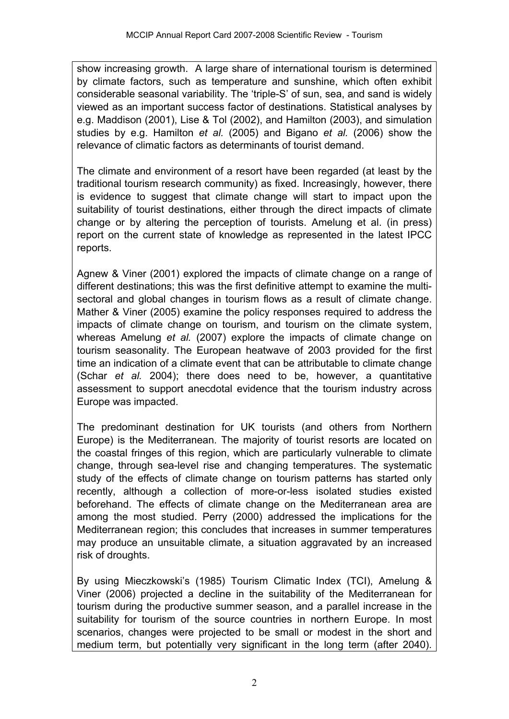show increasing growth. A large share of international tourism is determined by climate factors, such as temperature and sunshine, which often exhibit considerable seasonal variability. The 'triple-S' of sun, sea, and sand is widely viewed as an important success factor of destinations. Statistical analyses by e.g. Maddison (2001), Lise & Tol (2002), and Hamilton (2003), and simulation studies by e.g. Hamilton *et al.* (2005) and Bigano *et al.* (2006) show the relevance of climatic factors as determinants of tourist demand.

The climate and environment of a resort have been regarded (at least by the traditional tourism research community) as fixed. Increasingly, however, there is evidence to suggest that climate change will start to impact upon the suitability of tourist destinations, either through the direct impacts of climate change or by altering the perception of tourists. Amelung et al. (in press) report on the current state of knowledge as represented in the latest IPCC reports.

Agnew & Viner (2001) explored the impacts of climate change on a range of different destinations; this was the first definitive attempt to examine the multisectoral and global changes in tourism flows as a result of climate change. Mather & Viner (2005) examine the policy responses required to address the impacts of climate change on tourism, and tourism on the climate system, whereas Amelung *et al.* (2007) explore the impacts of climate change on tourism seasonality. The European heatwave of 2003 provided for the first time an indication of a climate event that can be attributable to climate change (Schar *et al.* 2004); there does need to be, however, a quantitative assessment to support anecdotal evidence that the tourism industry across Europe was impacted.

The predominant destination for UK tourists (and others from Northern Europe) is the Mediterranean. The majority of tourist resorts are located on the coastal fringes of this region, which are particularly vulnerable to climate change, through sea-level rise and changing temperatures. The systematic study of the effects of climate change on tourism patterns has started only recently, although a collection of more-or-less isolated studies existed beforehand. The effects of climate change on the Mediterranean area are among the most studied. Perry (2000) addressed the implications for the Mediterranean region; this concludes that increases in summer temperatures may produce an unsuitable climate, a situation aggravated by an increased risk of droughts.

By using Mieczkowski's (1985) Tourism Climatic Index (TCI), Amelung & Viner (2006) projected a decline in the suitability of the Mediterranean for tourism during the productive summer season, and a parallel increase in the suitability for tourism of the source countries in northern Europe. In most scenarios, changes were projected to be small or modest in the short and medium term, but potentially very significant in the long term (after 2040).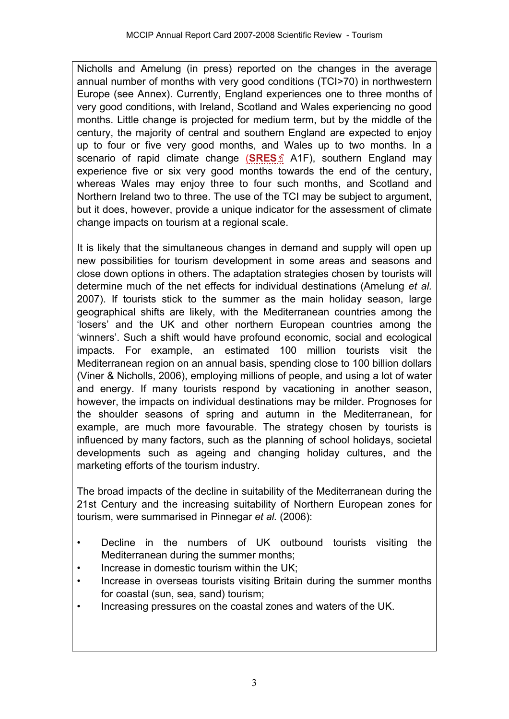Nicholls and Amelung (in press) reported on the changes in the average annual number of months with very good conditions (TCI>70) in northwestern Europe (see Annex). Currently, England experiences one to three months of very good conditions, with Ireland, Scotland and Wales experiencing no good months. Little change is projected for medium term, but by the middle of the century, the majority of central and southern England are expected to enjoy up to four or five very good months, an[d W](http://www.mccip.org.uk/arc/2007/glossary.htm)ales up to two months. In a scenario of rapid climate change (**[SRES](http://www.mccip.org.uk/arc/2007/glossary.htm#SRES)**<sup>2</sup> A1F), southern England may experience five or six very good months towards the end of the century, whereas Wales may enjoy three to four such months, and Scotland and Northern Ireland two to three. The use of the TCI may be subject to argument, but it does, however, provide a unique indicator for the assessment of climate change impacts on tourism at a regional scale.

It is likely that the simultaneous changes in demand and supply will open up new possibilities for tourism development in some areas and seasons and close down options in others. The adaptation strategies chosen by tourists will determine much of the net effects for individual destinations (Amelung *et al.* 2007). If tourists stick to the summer as the main holiday season, large geographical shifts are likely, with the Mediterranean countries among the 'losers' and the UK and other northern European countries among the 'winners'. Such a shift would have profound economic, social and ecological impacts. For example, an estimated 100 million tourists visit the Mediterranean region on an annual basis, spending close to 100 billion dollars (Viner & Nicholls, 2006), employing millions of people, and using a lot of water and energy. If many tourists respond by vacationing in another season, however, the impacts on individual destinations may be milder. Prognoses for the shoulder seasons of spring and autumn in the Mediterranean, for example, are much more favourable. The strategy chosen by tourists is influenced by many factors, such as the planning of school holidays, societal developments such as ageing and changing holiday cultures, and the marketing efforts of the tourism industry.

The broad impacts of the decline in suitability of the Mediterranean during the 21st Century and the increasing suitability of Northern European zones for tourism, were summarised in Pinnegar *et al.* (2006):

- Decline in the numbers of UK outbound tourists visiting the Mediterranean during the summer months;
- Increase in domestic tourism within the UK;
- Increase in overseas tourists visiting Britain during the summer months for coastal (sun, sea, sand) tourism;
- Increasing pressures on the coastal zones and waters of the UK.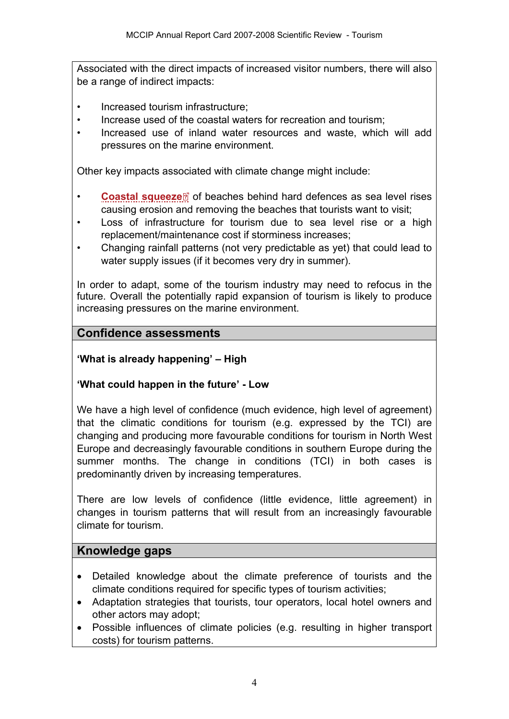Associated with the direct impacts of increased visitor numbers, there will also be a range of indirect impacts:

- Increased tourism infrastructure;
- Increase used of the coastal waters for recreation and tourism;
- Increased use of inland water resources and waste, which will add pressures on the marine environment.

Other key impacts associated with climate change might include:

- •**[Coastal squeeze](http://www.mccip.org.uk/arc/2007/glossary.htm#Coastal_squeeze)** of beaches behind hard defences as sea level rises causing erosion and removing the beaches that tourists want to visit;
- Loss of infrastructure for tourism due to sea level rise or a high replacement/maintenance cost if storminess increases;
- Changing rainfall patterns (not very predictable as yet) that could lead to water supply issues (if it becomes very dry in summer).

In order to adapt, some of the tourism industry may need to refocus in the future. Overall the potentially rapid expansion of tourism is likely to produce increasing pressures on the marine environment.

#### **Confidence assessments**

**'What is already happening' – High** 

#### **'What could happen in the future' - Low**

We have a high level of confidence (much evidence, high level of agreement) that the climatic conditions for tourism (e.g. expressed by the TCI) are changing and producing more favourable conditions for tourism in North West Europe and decreasingly favourable conditions in southern Europe during the summer months. The change in conditions (TCI) in both cases is predominantly driven by increasing temperatures.

There are low levels of confidence (little evidence, little agreement) in changes in tourism patterns that will result from an increasingly favourable climate for tourism.

#### **Knowledge gaps**

- Detailed knowledge about the climate preference of tourists and the climate conditions required for specific types of tourism activities;
- Adaptation strategies that tourists, tour operators, local hotel owners and other actors may adopt;
- Possible influences of climate policies (e.g. resulting in higher transport costs) for tourism patterns.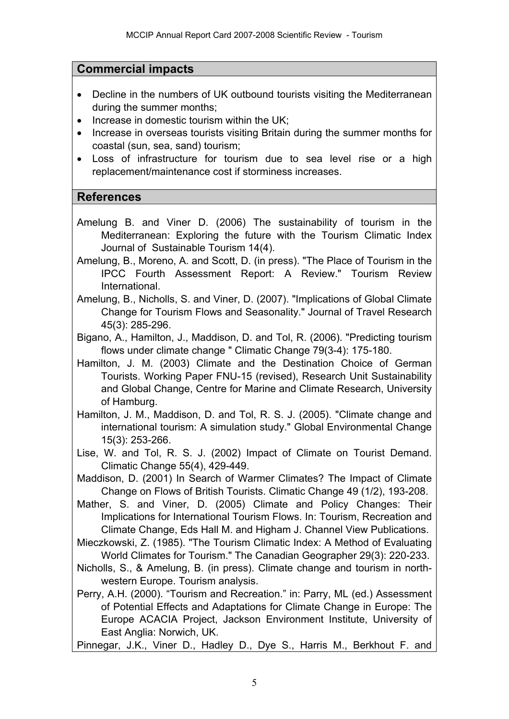## **Commercial impacts**

- Decline in the numbers of UK outbound tourists visiting the Mediterranean during the summer months;
- Increase in domestic tourism within the UK;
- Increase in overseas tourists visiting Britain during the summer months for coastal (sun, sea, sand) tourism;
- Loss of infrastructure for tourism due to sea level rise or a high replacement/maintenance cost if storminess increases.

## **References**

- Amelung B. and Viner D. (2006) The sustainability of tourism in the Mediterranean: Exploring the future with the Tourism Climatic Index Journal of Sustainable Tourism 14(4).
- Amelung, B., Moreno, A. and Scott, D. (in press). "The Place of Tourism in the IPCC Fourth Assessment Report: A Review." Tourism Review International.
- Amelung, B., Nicholls, S. and Viner, D. (2007). "Implications of Global Climate Change for Tourism Flows and Seasonality." Journal of Travel Research 45(3): 285-296.
- Bigano, A., Hamilton, J., Maddison, D. and Tol, R. (2006). "Predicting tourism flows under climate change " Climatic Change 79(3-4): 175-180.
- Hamilton, J. M. (2003) Climate and the Destination Choice of German Tourists. Working Paper FNU-15 (revised), Research Unit Sustainability and Global Change, Centre for Marine and Climate Research, University of Hamburg.
- Hamilton, J. M., Maddison, D. and Tol, R. S. J. (2005). "Climate change and international tourism: A simulation study." Global Environmental Change 15(3): 253-266.
- Lise, W. and Tol, R. S. J. (2002) Impact of Climate on Tourist Demand. Climatic Change 55(4), 429-449.
- Maddison, D. (2001) In Search of Warmer Climates? The Impact of Climate Change on Flows of British Tourists. Climatic Change 49 (1/2), 193-208.
- Mather, S. and Viner, D. (2005) Climate and Policy Changes: Their Implications for International Tourism Flows. In: Tourism, Recreation and Climate Change, Eds Hall M. and Higham J. Channel View Publications.
- Mieczkowski, Z. (1985). "The Tourism Climatic Index: A Method of Evaluating World Climates for Tourism." The Canadian Geographer 29(3): 220-233.
- Nicholls, S., & Amelung, B. (in press). Climate change and tourism in northwestern Europe. Tourism analysis.
- Perry, A.H. (2000). "Tourism and Recreation." in: Parry, ML (ed.) Assessment of Potential Effects and Adaptations for Climate Change in Europe: The Europe ACACIA Project, Jackson Environment Institute, University of East Anglia: Norwich, UK.

Pinnegar, J.K., Viner D., Hadley D., Dye S., Harris M., Berkhout F. and